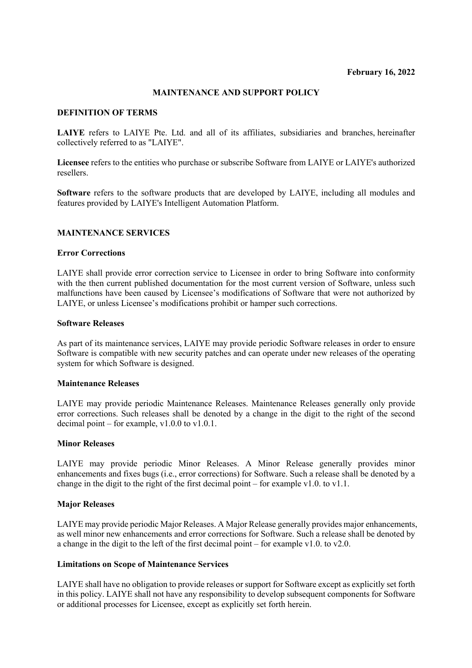# **MAINTENANCE AND SUPPORT POLICY**

### **DEFINITION OF TERMS**

**LAIYE** refers to LAIYE Pte. Ltd. and all of its affiliates, subsidiaries and branches, hereinafter collectively referred to as "LAIYE".

**Licensee** refers to the entities who purchase or subscribe Software from LAIYE or LAIYE's authorized resellers.

**Software** refers to the software products that are developed by LAIYE, including all modules and features provided by LAIYE's Intelligent Automation Platform.

# **MAINTENANCE SERVICES**

#### **Error Corrections**

LAIYE shall provide error correction service to Licensee in order to bring Software into conformity with the then current published documentation for the most current version of Software, unless such malfunctions have been caused by Licensee's modifications of Software that were not authorized by LAIYE, or unless Licensee's modifications prohibit or hamper such corrections.

#### **Software Releases**

As part of its maintenance services, LAIYE may provide periodic Software releases in order to ensure Software is compatible with new security patches and can operate under new releases of the operating system for which Software is designed.

#### **Maintenance Releases**

LAIYE may provide periodic Maintenance Releases. Maintenance Releases generally only provide error corrections. Such releases shall be denoted by a change in the digit to the right of the second decimal point – for example,  $v1.0.0$  to  $v1.0.1$ .

#### **Minor Releases**

LAIYE may provide periodic Minor Releases. A Minor Release generally provides minor enhancements and fixes bugs (i.e., error corrections) for Software. Such a release shall be denoted by a change in the digit to the right of the first decimal point – for example v1.0. to v1.1.

#### **Major Releases**

LAIYE may provide periodic Major Releases. A Major Release generally provides major enhancements, as well minor new enhancements and error corrections for Software. Such a release shall be denoted by a change in the digit to the left of the first decimal point – for example v1.0. to v2.0.

#### **Limitations on Scope of Maintenance Services**

LAIYE shall have no obligation to provide releases or support for Software except as explicitly set forth in this policy. LAIYE shall not have any responsibility to develop subsequent components for Software or additional processes for Licensee, except as explicitly set forth herein.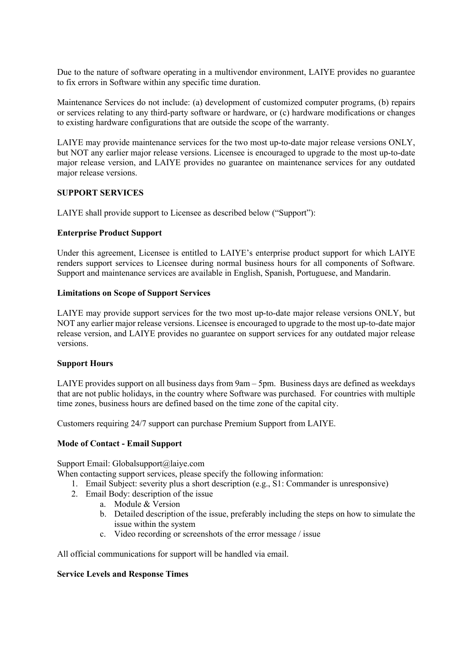Due to the nature of software operating in a multivendor environment, LAIYE provides no guarantee to fix errors in Software within any specific time duration.

Maintenance Services do not include: (a) development of customized computer programs, (b) repairs or services relating to any third-party software or hardware, or (c) hardware modifications or changes to existing hardware configurations that are outside the scope of the warranty.

LAIYE may provide maintenance services for the two most up-to-date major release versions ONLY, but NOT any earlier major release versions. Licensee is encouraged to upgrade to the most up-to-date major release version, and LAIYE provides no guarantee on maintenance services for any outdated major release versions.

# **SUPPORT SERVICES**

LAIYE shall provide support to Licensee as described below ("Support"):

#### **Enterprise Product Support**

Under this agreement, Licensee is entitled to LAIYE's enterprise product support for which LAIYE renders support services to Licensee during normal business hours for all components of Software. Support and maintenance services are available in English, Spanish, Portuguese, and Mandarin.

#### **Limitations on Scope of Support Services**

LAIYE may provide support services for the two most up-to-date major release versions ONLY, but NOT any earlier major release versions. Licensee is encouraged to upgrade to the most up-to-date major release version, and LAIYE provides no guarantee on support services for any outdated major release versions.

# **Support Hours**

LAIYE provides support on all business days from 9am – 5pm. Business days are defined as weekdays that are not public holidays, in the country where Software was purchased. For countries with multiple time zones, business hours are defined based on the time zone of the capital city.

Customers requiring 24/7 support can purchase Premium Support from LAIYE.

# **Mode of Contact - Email Support**

Support Email: Globalsupport@laiye.com

When contacting support services, please specify the following information:

- 1. Email Subject: severity plus a short description (e.g., S1: Commander is unresponsive)
- 2. Email Body: description of the issue
	- a. Module & Version
	- b. Detailed description of the issue, preferably including the steps on how to simulate the issue within the system
	- c. Video recording or screenshots of the error message / issue

All official communications for support will be handled via email.

#### **Service Levels and Response Times**